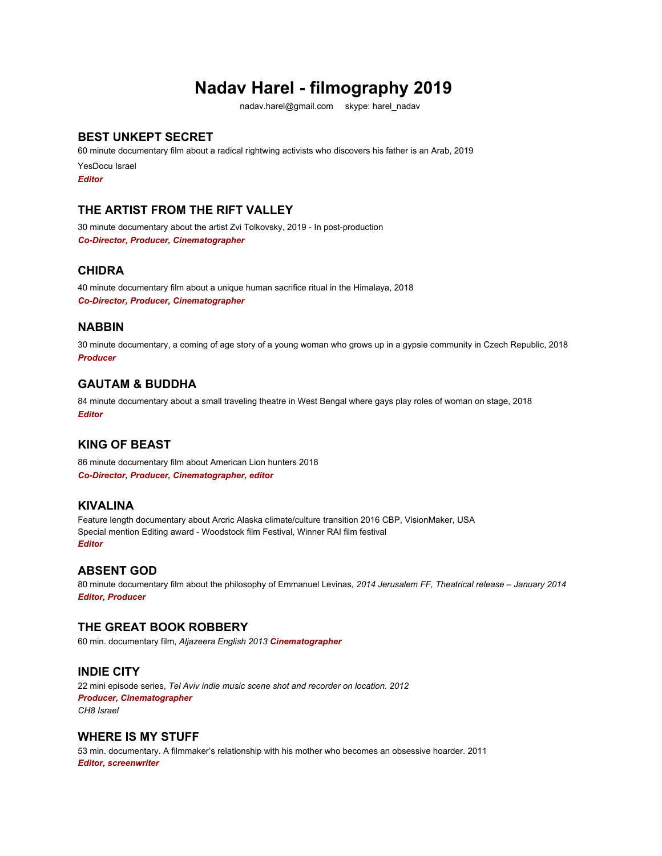# **Nadav Harel - filmography 2019**

nadav.harel@gmail.com skype: harel\_nadav

# **BEST UNKEPT SECRET**

60 minute documentary film about a radical rightwing activists who discovers his father is an Arab, 2019 YesDocu Israel *Editor*

# **THE ARTIST FROM THE RIFT VALLEY**

30 minute documentary about the artist Zvi Tolkovsky, 2019 - In post-production *Co-Director, Producer, Cinematographer*

# **CHIDRA**

40 minute documentary film about a unique human sacrifice ritual in the Himalaya, 2018 *Co-Director, Producer, Cinematographer*

# **NABBIN**

30 minute documentary, a coming of age story of a young woman who grows up in a gypsie community in Czech Republic, 2018 *Producer*

# **GAUTAM & BUDDHA**

84 minute documentary about a small traveling theatre in West Bengal where gays play roles of woman on stage, 2018 *Editor*

# **KING OF BEAST**

86 minute documentary film about American Lion hunters 2018 *Co-Director, Producer, Cinematographer, editor*

# **KIVALINA**

Feature length documentary about Arcric Alaska climate/culture transition 2016 CBP, VisionMaker, USA Special mention Editing award - Woodstock film Festival, Winner RAI film festival *Editor*

#### **ABSENT GOD**

80 minute documentary film about the philosophy of Emmanuel Levinas, *2014 Jerusalem FF, Theatrical release – January 2014 Editor, Producer*

# **THE GREAT BOOK ROBBERY**

60 min. documentary film, *Aljazeera English 2013 Cinematographer*

# **INDIE CITY**

22 mini episode series, *Tel Aviv indie music scene shot and recorder on location. 2012 Producer, Cinematographer CH8 Israel*

# **WHERE IS MY STUFF**

53 min. documentary. A filmmaker's relationship with his mother who becomes an obsessive hoarder. 2011 *Editor, screenwriter*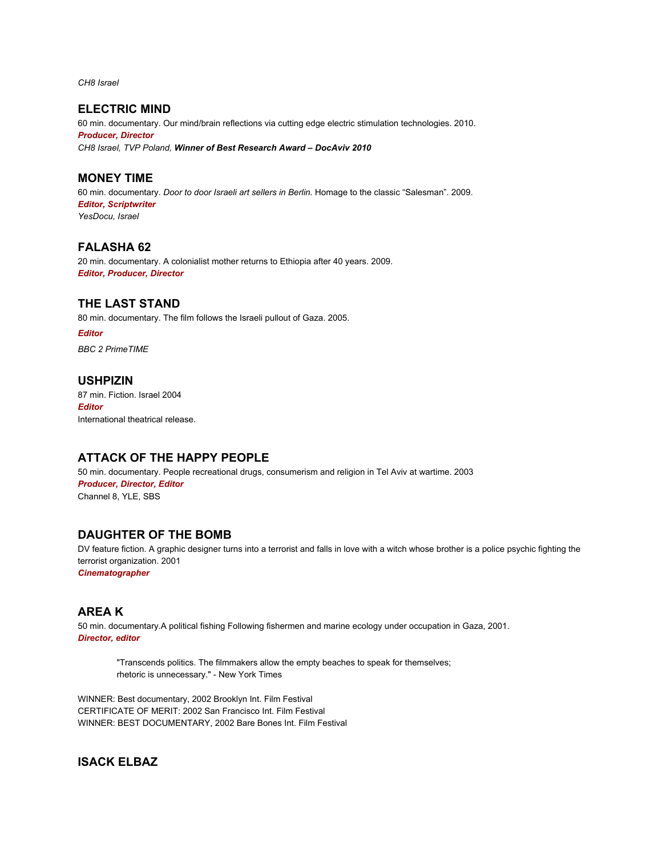*CH8 Israel*

**ELECTRIC MIND**

60 min. documentary. Our mind/brain reflections via cutting edge electric stimulation technologies. 2010. *Producer, Director CH8 Israel, TVP Poland, Winner of Best Research Award – DocAviv 2010*

### **MONEY TIME**

60 min. documentary. *Door to door Israeli art sellers in Berlin.* Homage to the classic "Salesman". 2009. *Editor, Scriptwriter YesDocu, Israel*

### **FALASHA 62**

20 min. documentary. A colonialist mother returns to Ethiopia after 40 years. 2009. *Editor, Producer, Director*

#### **THE LAST STAND**

80 min. documentary. The film follows the Israeli pullout of Gaza. 2005.

*Editor BBC 2 PrimeTIME*

### **USHPIZIN**

87 min. Fiction. Israel 2004 *Editor* International theatrical release.

# **ATTACK OF THE HAPPY PEOPLE**

50 min. documentary. People recreational drugs, consumerism and religion in Tel Aviv at wartime. 2003 *Producer, Director, Editor* Channel 8, YLE, SBS

# **DAUGHTER OF THE BOMB**

DV feature fiction. A graphic designer turns into a terrorist and falls in love with a witch whose brother is a police psychic fighting the terrorist organization. 2001 *Cinematographer*

# **AREA K**

50 min. documentary.A political fishing Following fishermen and marine ecology under occupation in Gaza, 2001. *Director, editor*

"Transcends politics. The filmmakers allow the empty beaches to speak for themselves; rhetoric is unnecessary." - New York Times

WINNER: Best documentary, 2002 Brooklyn Int. Film Festival CERTIFICATE OF MERIT: 2002 San Francisco Int. Film Festival WINNER: BEST DOCUMENTARY, 2002 Bare Bones Int. Film Festival

# **ISACK ELBAZ**